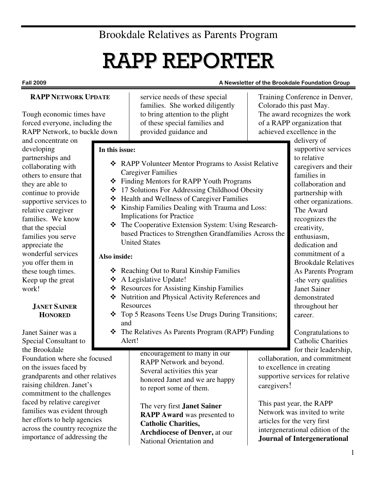# Brookdale Relatives as Parents Program

# RAPP REPORTER

#### Fall 2009 **A Newsletter of the Brookdale Foundation Group** A Newsletter of the Brookdale Foundation Group

# **RAPP NETWORK UPDATE**

Tough economic times have forced everyone, including the RAPP Network, to buckle down

and concentrate on developing partnerships and collaborating with others to ensure that they are able to continue to provide supportive services to relative caregiver families. We know that the special families you serve appreciate the wonderful services you offer them in these tough times. Keep up the great work!

# **JANET SAINER HONORED**

Janet Sainer was a Special Consultant to the Brookdale Foundation where she focused on the issues faced by grandparents and other relatives raising children. Janet's commitment to the challenges faced by relative caregiver families was evident through her efforts to help agencies across the country recognize the importance of addressing the

service needs of these special families. She worked diligently to bring attention to the plight of these special families and provided guidance and

# **In this issue:**

- ❖ RAPP Volunteer Mentor Programs to Assist Relative Caregiver Families
- Finding Mentors for RAPP Youth Programs
- 17 Solutions For Addressing Childhood Obesity
- ❖ Health and Wellness of Caregiver Families
- \* Kinship Families Dealing with Trauma and Loss: Implications for Practice
- The Cooperative Extension System: Using Researchbased Practices to Strengthen Grandfamilies Across the United States

# **Also inside:**

- ❖ Reaching Out to Rural Kinship Families
- A Legislative Update!
- ❖ Resources for Assisting Kinship Families
- Nutrition and Physical Activity References and **Resources**
- Top 5 Reasons Teens Use Drugs During Transitions; and
- The Relatives As Parents Program (RAPP) Funding Alert!

encouragement to many in our RAPP Network and beyond. Several activities this year honored Janet and we are happy to report some of them.

The very first **Janet Sainer RAPP Award** was presented to **Catholic Charities, Archdiocese of Denver,** at our National Orientation and

Training Conference in Denver, Colorado this past May. The award recognizes the work of a RAPP organization that achieved excellence in the

delivery of supportive services to relative caregivers and their families in collaboration and partnership with other organizations. The Award recognizes the creativity, enthusiasm, dedication and commitment of a Brookdale Relatives As Parents Program -the very qualities Janet Sainer demonstrated throughout her career.

Congratulations to Catholic Charities for their leadership,

collaboration, and commitment to excellence in creating supportive services for relative caregivers!

This past year, the RAPP Network was invited to write articles for the very first intergenerational edition of the **Journal of Intergenerational**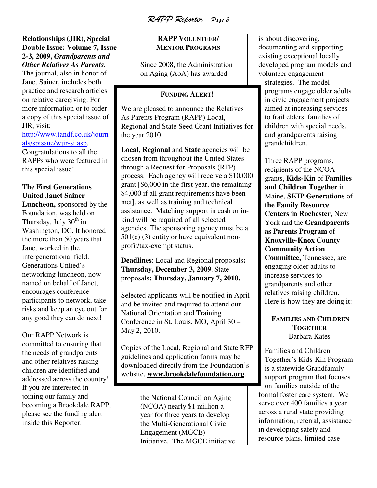RAPP Reporter - Page 2

#### **Relationships (JIR), Special Double Issue: Volume 7, Issue 2-3, 2009,** *Grandparents and Other Relatives As Parents.*

The journal, also in honor of Janet Sainer, includes both practice and research articles on relative caregiving. For more information or to order a copy of this special issue of JIR, visit:

http://www.tandf.co.uk/journ als/spissue/wjir-si.asp.

Congratulations to all the RAPPs who were featured in this special issue!

# **The First Generations United Janet Sainer**

**Luncheon,** sponsored by the Foundation, was held on Thursday, July  $30<sup>th</sup>$  in Washington, DC. It honored the more than 50 years that Janet worked in the intergenerational field. Generations United's networking luncheon, now named on behalf of Janet, encourages conference participants to network, take risks and keep an eye out for any good they can do next!

Our RAPP Network is committed to ensuring that the needs of grandparents and other relatives raising children are identified and addressed across the country! If you are interested in joining our family and becoming a Brookdale RAPP, please see the funding alert inside this Reporter.

# **RAPP VOLUNTEER/ MENTOR PROGRAMS**

Since 2008, the Administration on Aging (AoA) has awarded

# **FUNDING ALERT!**

We are pleased to announce the Relatives As Parents Program (RAPP) Local, Regional and State Seed Grant Initiatives for the year 2010.

**Local, Regional** and **State** agencies will be chosen from throughout the United States through a Request for Proposals (RFP) process. Each agency will receive a \$10,000 grant [\$6,000 in the first year, the remaining \$4,000 if all grant requirements have been met], as well as training and technical assistance. Matching support in cash or inkind will be required of all selected agencies. The sponsoring agency must be a  $501(c)$  (3) entity or have equivalent nonprofit/tax-exempt status.

**Deadlines**: Local and Regional proposals**: Thursday, December 3, 2009**. State proposals**: Thursday, January 7, 2010.** 

Selected applicants will be notified in April and be invited and required to attend our National Orientation and Training Conference in St. Louis, MO, April 30 – May 2, 2010.

Copies of the Local, Regional and State RFP guidelines and application forms may be downloaded directly from the Foundation's website, **www.brookdalefoundation.org**.

> the National Council on Aging (NCOA) nearly \$1 million a year for three years to develop the Multi-Generational Civic Engagement (MGCE) Initiative. The MGCE initiative

is about discovering, documenting and supporting existing exceptional locally developed program models and volunteer engagement strategies. The model programs engage older adults in civic engagement projects aimed at increasing services to frail elders, families of children with special needs, and grandparents raising grandchildren.

Three RAPP programs, recipients of the NCOA grants, **Kids-Kin** of **Families and Children Together** in Maine, **SKIP Generations** of **the Family Resource Centers in Rochester**, New York and the **Grandparents as Parents Program** of **Knoxville-Knox County Community Action Committee,** Tennessee**,** are engaging older adults to increase services to grandparents and other relatives raising children. Here is how they are doing it:

### **FAMILIES AND CHILDREN TOGETHER**  Barbara Kates

Families and Children Together's Kids-Kin Program is a statewide Grandfamily support program that focuses on families outside of the formal foster care system. We serve over 400 families a year across a rural state providing information, referral, assistance in developing safety and resource plans, limited case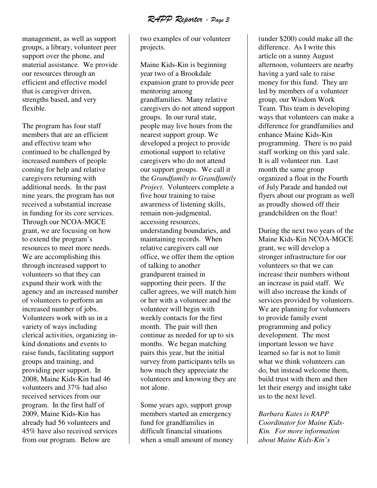RAPP Reporter - Page 3

management, as well as support groups, a library, volunteer peer support over the phone, and material assistance. We provide our resources through an efficient and effective model that is caregiver driven, strengths based, and very flexible.

The program has four staff members that are an efficient and effective team who continued to be challenged by increased numbers of people coming for help and relative caregivers returning with additional needs. In the past nine years, the program has not received a substantial increase in funding for its core services. Through our NCOA-MGCE grant, we are focusing on how to extend the program's resources to meet more needs. We are accomplishing this through increased support to volunteers so that they can expand their work with the agency and an increased number of volunteers to perform an increased number of jobs. Volunteers work with us in a variety of ways including clerical activities, organizing inkind donations and events to raise funds, facilitating support groups and training, and providing peer support. In 2008, Maine Kids-Kin had 46 volunteers and 37% had also received services from our program. In the first half of 2009, Maine Kids-Kin has already had 56 volunteers and 45% have also received services from our program. Below are

two examples of our volunteer projects.

Maine Kids-Kin is beginning year two of a Brookdale expansion grant to provide peer mentoring among grandfamilies. Many relative caregivers do not attend support groups. In our rural state, people may live hours from the nearest support group. We developed a project to provide emotional support to relative caregivers who do not attend our support groups. We call it the *Grandfamily to Grandfamily Project*. Volunteers complete a five hour training to raise awareness of listening skills, remain non-judgmental, accessing resources, understanding boundaries, and maintaining records. When relative caregivers call our office, we offer them the option of talking to another grandparent trained in supporting their peers. If the caller agrees, we will match him or her with a volunteer and the volunteer will begin with weekly contacts for the first month. The pair will then continue as needed for up to six months. We began matching pairs this year, but the initial survey from participants tells us how much they appreciate the volunteers and knowing they are not alone.

Some years ago, support group members started an emergency fund for grandfamilies in difficult financial situations when a small amount of money (under \$200) could make all the difference. As I write this article on a sunny August afternoon, volunteers are nearby having a yard sale to raise money for this fund. They are led by members of a volunteer group, our Wisdom Work Team. This team is developing ways that volunteers can make a difference for grandfamilies and enhance Maine Kids-Kin programming. There is no paid staff working on this yard sale. It is all volunteer run. Last month the same group organized a float in the Fourth of July Parade and handed out flyers about our program as well as proudly showed off their grandchildren on the float!

During the next two years of the Maine Kids-Kin NCOA-MGCE grant, we will develop a stronger infrastructure for our volunteers so that we can increase their numbers without an increase in paid staff. We will also increase the kinds of services provided by volunteers. We are planning for volunteers to provide family event programming and policy development. The most important lesson we have learned so far is not to limit what we think volunteers can do, but instead welcome them, build trust with them and then let their energy and insight take us to the next level.

*Barbara Kates is RAPP Coordinator for Maine Kids-Kin. For more information about Maine Kids-Kin's*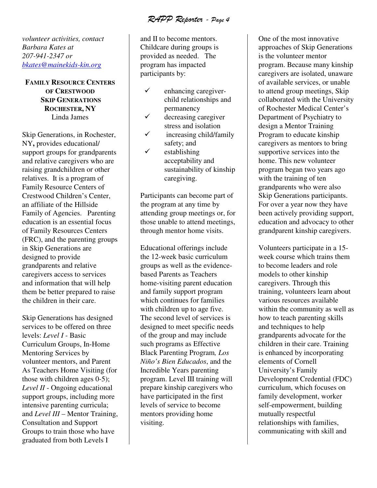RAPP Reporter - Page 4

*volunteer activities, contact Barbara Kates at 207-941-2347 or bkates@mainekids-kin.org*

# **FAMILY RESOURCE CENTERS OF CRESTWOOD SKIP GENERATIONS ROCHESTER, NY**  Linda James

Skip Generations, in Rochester, NY**,** provides educational/ support groups for grandparents and relative caregivers who are raising grandchildren or other relatives. It is a program of Family Resource Centers of Crestwood Children's Center, an affiliate of the Hillside Family of Agencies. Parenting education is an essential focus of Family Resources Centers (FRC), and the parenting groups in Skip Generations are designed to provide grandparents and relative caregivers access to services and information that will help them be better prepared to raise the children in their care.

Skip Generations has designed services to be offered on three levels: *Level I* - Basic Curriculum Groups, In-Home Mentoring Services by volunteer mentors, and Parent As Teachers Home Visiting (for those with children ages 0-5); *Level II* - Ongoing educational support groups, including more intensive parenting curricula; and *Level III* – Mentor Training, Consultation and Support Groups to train those who have graduated from both Levels I

and II to become mentors. Childcare during groups is provided as needed. The program has impacted participants by:

- $\checkmark$  enhancing caregiverchild relationships and permanency
- $\checkmark$  decreasing caregiver stress and isolation
- $\checkmark$  increasing child/family safety; and
- $\checkmark$  establishing acceptability and sustainability of kinship caregiving.

Participants can become part of the program at any time by attending group meetings or, for those unable to attend meetings, through mentor home visits.

Educational offerings include the 12-week basic curriculum groups as well as the evidencebased Parents as Teachers home-visiting parent education and family support program which continues for families with children up to age five. The second level of services is designed to meet specific needs of the group and may include such programs as Effective Black Parenting Program*, Los Niño's Bien Educados*, and the Incredible Years parenting program. Level III training will prepare kinship caregivers who have participated in the first levels of service to become mentors providing home visiting.

One of the most innovative approaches of Skip Generations is the volunteer mentor program. Because many kinship caregivers are isolated, unaware of available services, or unable to attend group meetings, Skip collaborated with the University of Rochester Medical Center's Department of Psychiatry to design a Mentor Training Program to educate kinship caregivers as mentors to bring supportive services into the home. This new volunteer program began two years ago with the training of ten grandparents who were also Skip Generations participants. For over a year now they have been actively providing support, education and advocacy to other grandparent kinship caregivers.

Volunteers participate in a 15 week course which trains them to become leaders and role models to other kinship caregivers. Through this training, volunteers learn about various resources available within the community as well as how to teach parenting skills and techniques to help grandparents advocate for the children in their care. Training is enhanced by incorporating elements of Cornell University's Family Development Credential (FDC) curriculum, which focuses on family development, worker self-empowerment, building mutually respectful relationships with families, communicating with skill and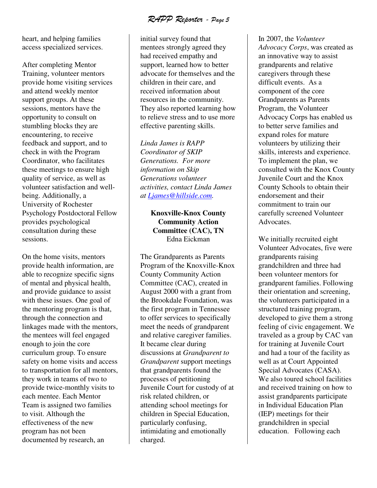RAPP Reporter - Page 5

heart, and helping families access specialized services.

After completing Mentor Training, volunteer mentors provide home visiting services and attend weekly mentor support groups. At these sessions, mentors have the opportunity to consult on stumbling blocks they are encountering, to receive feedback and support, and to check in with the Program Coordinator, who facilitates these meetings to ensure high quality of service, as well as volunteer satisfaction and wellbeing. Additionally, a University of Rochester Psychology Postdoctoral Fellow provides psychological consultation during these sessions.

On the home visits, mentors provide health information, are able to recognize specific signs of mental and physical health, and provide guidance to assist with these issues. One goal of the mentoring program is that, through the connection and linkages made with the mentors, the mentees will feel engaged enough to join the core curriculum group. To ensure safety on home visits and access to transportation for all mentors, they work in teams of two to provide twice-monthly visits to each mentee. Each Mentor Team is assigned two families to visit. Although the effectiveness of the new program has not been documented by research, an

initial survey found that mentees strongly agreed they had received empathy and support, learned how to better advocate for themselves and the children in their care, and received information about resources in the community. They also reported learning how to relieve stress and to use more effective parenting skills.

*Linda James is RAPP Coordinator of SKIP Generations. For more information on Skip Generations volunteer activities, contact Linda James at Ljames@hillside.com.* 

# **Knoxville-Knox County Community Action Committee (CAC), TN** Edna Eickman

The Grandparents as Parents Program of the Knoxville-Knox County Community Action Committee (CAC), created in August 2000 with a grant from the Brookdale Foundation, was the first program in Tennessee to offer services to specifically meet the needs of grandparent and relative caregiver families. It became clear during discussions at *Grandparent to Grandparent* support meetings that grandparents found the processes of petitioning Juvenile Court for custody of at risk related children, or attending school meetings for children in Special Education, particularly confusing, intimidating and emotionally charged.

In 2007, the *Volunteer Advocacy Corps*, was created as an innovative way to assist grandparents and relative caregivers through these difficult events. As a component of the core Grandparents as Parents Program, the Volunteer Advocacy Corps has enabled us to better serve families and expand roles for mature volunteers by utilizing their skills, interests and experience. To implement the plan, we consulted with the Knox County Juvenile Court and the Knox County Schools to obtain their endorsement and their commitment to train our carefully screened Volunteer Advocates.

We initially recruited eight Volunteer Advocates, five were grandparents raising grandchildren and three had been volunteer mentors for grandparent families. Following their orientation and screening, the volunteers participated in a structured training program, developed to give them a strong feeling of civic engagement. We traveled as a group by CAC van for training at Juvenile Court and had a tour of the facility as well as at Court Appointed Special Advocates (CASA). We also toured school facilities and received training on how to assist grandparents participate in Individual Education Plan (IEP) meetings for their grandchildren in special education. Following each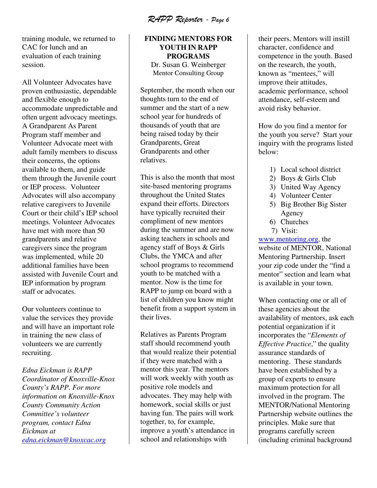RAPP Reporter - Page 6

training module, we returned to CAC for lunch and an evaluation of each training session.

All Volunteer Advocates have proven enthusiastic, dependable and flexible enough to accommodate unpredictable and often urgent advocacy meetings. A Grandparent As Parent Program staff member and Volunteer Advocate meet with adult family members to discuss their concerns, the options available to them, and guide them through the Juvenile court or IEP process. Volunteer Advocates will also accompany relative caregivers to Juvenile Court or their child's IEP school meetings. Volunteer Advocates have met with more than 50 grandparents and relative caregivers since the program was implemented, while 20 additional families have been assisted with Juvenile Court and IEP information by program staff or advocates.

Our volunteers continue to value the services they provide and will have an important role in training the new class of volunteers we are currently recruiting.

*Edna Eickman is RAPP Coordinator of Knoxville-Knox County's RAPP. For more information on Knoxville-Knox County Community Action Committee's volunteer program, contact Edna Eickman at edna.eickman@knoxcac.org*

# **FINDING MENTORS FOR YOUTH IN RAPP PROGRAMS**  Dr. Susan G. Weinberger Mentor Consulting Group

September, the month when our thoughts turn to the end of summer and the start of a new school year for hundreds of thousands of youth that are being raised today by their Grandparents, Great Grandparents and other relatives.

This is also the month that most site-based mentoring programs throughout the United States expand their efforts. Directors have typically recruited their compliment of new mentors during the summer and are now asking teachers in schools and agency staff of Boys & Girls Clubs, the YMCA and after school programs to recommend youth to be matched with a mentor. Now is the time for RAPP to jump on board with a list of children you know might benefit from a support system in their lives.

Relatives as Parents Program staff should recommend youth that would realize their potential if they were matched with a mentor this year. The mentors will work weekly with youth as positive role models and advocates. They may help with homework, social skills or just having fun. The pairs will work together, to, for example, improve a youth's attendance in school and relationships with

their peers. Mentors will instill character, confidence and competence in the youth. Based on the research, the youth, known as "mentees," will improve their attitudes, academic performance, school attendance, self-esteem and avoid risky behavior.

How do you find a mentor for the youth you serve? Start your inquiry with the programs listed below:

- 1) Local school district
- 2) Boys & Girls Club
- 3) United Way Agency
- 4) Volunteer Center
- 5) Big Brother Big Sister Agency
- 6) Churches
- 7) Visit:

www.mentoring.org, the website of MENTOR, National Mentoring Partnership. Insert your zip code under the "find a mentor" section and learn what is available in your town.

When contacting one or all of these agencies about the availability of mentors, ask each potential organization if it incorporates the "*Elements of Effective Practice*," the quality assurance standards of mentoring. These standards have been established by a group of experts to ensure maximum protection for all involved in the program. The MENTOR/National Mentoring Partnership website outlines the principles. Make sure that programs carefully screen (including criminal background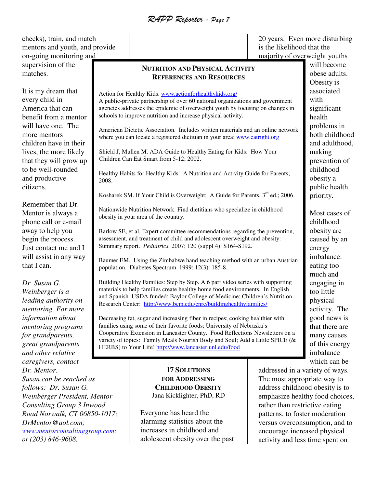RAPP Reporter - Page 7

checks), train, and match mentors and youth, and provide on-going monitoring and supervision of the matches.

It is my dream that every child in America that can benefit from a mentor will have one. The more mentors children have in their lives, the more likely that they will grow up to be well-rounded and productive citizens.

Remember that Dr. Mentor is always a phone call or e-mail away to help you begin the process. Just contact me and I will assist in any way that I can.

*Dr. Susan G. Weinberger is a leading authority on mentoring. For more information about mentoring programs for grandparents, great grandparents and other relative caregivers, contact Dr. Mentor. Susan can be reached as follows: Dr. Susan G. Weinberger President, Mentor Consulting Group 3 Inwood Road Norwalk, CT 06850-1017;* 

*DrMentor@aol.com; www.mentorconsultinggroup.com; or (203) 846-9608.* 

#### **NUTRITION AND PHYSICAL ACTIVITY REFERENCES AND RESOURCES**

Action for Healthy Kids. www.actionforhealthykids.org/ A public-private partnership of over 60 national organizations and government agencies addresses the epidemic of overweight youth by focusing on changes in schools to improve nutrition and increase physical activity.

American Dietetic Association. Includes written materials and an online network where you can locate a registered dietitian in your area; www.eatright.org

Shield J, Mullen M. ADA Guide to Healthy Eating for Kids: How Your Children Can Eat Smart from 5-12; 2002.

Healthy Habits for Healthy Kids: A Nutrition and Activity Guide for Parents; 2008.

Kosharek SM. If Your Child is Overweight: A Guide for Parents,  $3<sup>rd</sup>$  ed.; 2006.

Nationwide Nutrition Network: Find dietitians who specialize in childhood obesity in your area of the country.

Barlow SE, et al. Expert committee recommendations regarding the prevention, assessment, and treatment of child and adolescent overweight and obesity: Summary report. *Pediatrics.* 2007; 120 (suppl 4): S164-S192.

Baumer EM. Using the Zimbabwe hand teaching method with an urban Austrian population. Diabetes Spectrum. 1999; 12(3): 185-8.

Building Healthy Families: Step by Step. A 6 part video series with supporting materials to help families create healthy home food environments. In English and Spanish. USDA funded; Baylor College of Medicine; Children's Nutrition Research Center: http://www.bcm.edu/cnrc/buildinghealthyfamilies/

Decreasing fat, sugar and increasing fiber in recipes; cooking healthier with families using some of their favorite foods; University of Nebraska's Cooperative Extension in Lancaster County. Food Reflections Newsletters on a variety of topics: Family Meals Nourish Body and Soul; Add a Little SPICE (& HERBS) to Your Life! http://www.lancaster.unl.edu/food

> **17 SOLUTIONS FOR ADDRESSING CHILDHOOD OBESITY** Jana Kicklighter, PhD, RD

Everyone has heard the alarming statistics about the increases in childhood and adolescent obesity over the past 20 years. Even more disturbing is the likelihood that the majority of overweight youths

will become obese adults. Obesity is associated with significant health problems in both childhood and adulthood, making prevention of childhood obesity a public health priority.

Most cases of childhood obesity are caused by an energy imbalance: eating too much and engaging in too little physical activity. The good news is that there are many causes of this energy imbalance which can be

addressed in a variety of ways. The most appropriate way to address childhood obesity is to emphasize healthy food choices, rather than restrictive eating patterns, to foster moderation versus overconsumption, and to encourage increased physical activity and less time spent on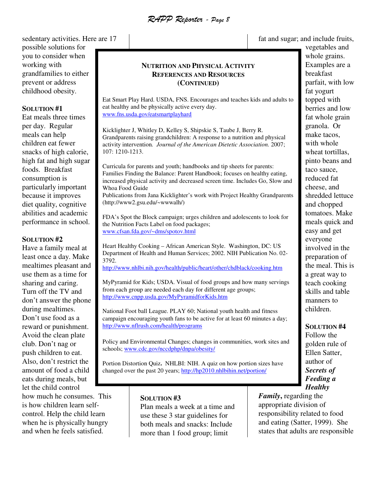RAPP Reporter - Page 8

sedentary activities. Here are 17 possible solutions for you to consider when working with grandfamilies to either prevent or address childhood obesity.

#### **SOLUTION #1**

Eat meals three times per day. Regular meals can help children eat fewer snacks of high calorie, high fat and high sugar foods. Breakfast consumption is particularly important because it improves diet quality, cognitive abilities and academic performance in school.

#### **SOLUTION #2**

Have a family meal at least once a day. Make mealtimes pleasant and use them as a time for sharing and caring. Turn off the TV and don't answer the phone during mealtimes. Don't use food as a reward or punishment. Avoid the clean plate club. Don't nag or push children to eat. Also, don't restrict the amount of food a child eats during meals, but let the child control

how much he consumes. This is how children learn selfcontrol. Help the child learn when he is physically hungry and when he feels satisfied.

# **NUTRITION AND PHYSICAL ACTIVITY REFERENCES AND RESOURCES (CONTINUED)**

Eat Smart Play Hard. USDA, FNS. Encourages and teaches kids and adults to eat healthy and be physically active every day. www.fns.usda.gov/eatsmartplayhard

Kicklighter J, Whitley D, Kelley S, Shipskie S, Taube J, Berry R. Grandparents raising grandchildren: A response to a nutrition and physical activity intervention*. Journal of the American Dietetic Association.* 2007; 107: 1210-1213.

Curricula for parents and youth; handbooks and tip sheets for parents: Families Finding the Balance: Parent Handbook; focuses on healthy eating, increased physical activity and decreased screen time. Includes Go, Slow and Whoa Food Guide Publications from Jana Kicklighter's work with Project Healthy Grandparents (http://www2.gsu.edu/~wwwalh/)

FDA's Spot the Block campaign; urges children and adolescents to look for the Nutrition Facts Label on food packages; www.cfsan.fda.gov/~dms/spotov.html

Heart Healthy Cooking – African American Style. Washington, DC: US Department of Health and Human Services; 2002. NIH Publication No. 02- 3792.

http://www.nhlbi.nih.gov/health/public/heart/other/chdblack/cooking.htm

MyPyramid for Kids; USDA. Visual of food groups and how many servings from each group are needed each day for different age groups; http://www.cnpp.usda.gov/MyPyramidforKids.htm

National Foot ball League. PLAY 60; National youth health and fitness campaign encouraging youth fans to be active for at least 60 minutes a day; http://www.nflrush.com/health/programs

Policy and Environmental Changes; changes in communities, work sites and schools; www.cdc.gov/nccdphp/dnpa/obesity/

Portion Distortion Quiz**.** NHLBI: NIH. A quiz on how portion sizes have changed over the past 20 years; http://hp2010.nhlbihin.net/portion/

#### **SOLUTION #3**

Plan meals a week at a time and use these 3 star guidelines for both meals and snacks: Include more than 1 food group; limit

fat and sugar; and include fruits,

vegetables and whole grains. Examples are a breakfast parfait, with low fat yogurt topped with berries and low fat whole grain granola. Or make tacos, with whole wheat tortillas, pinto beans and taco sauce, reduced fat cheese, and shredded lettuce and chopped tomatoes. Make meals quick and easy and get everyone involved in the preparation of the meal. This is a great way to teach cooking skills and table manners to children.

**SOLUTION #4**

Follow the golden rule of Ellen Satter, author of *Secrets of Feeding a Healthy* 

*Family***,** regarding the appropriate division of responsibility related to food and eating (Satter, 1999). She states that adults are responsible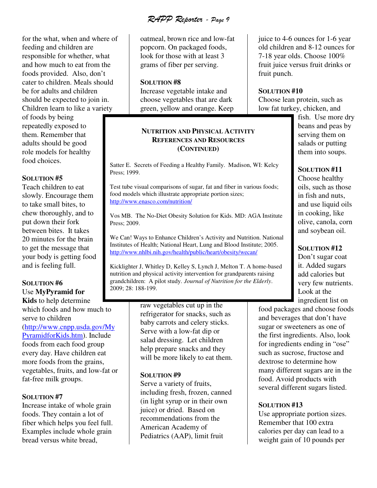RAPP Reporter - Page 9

for the what, when and where of feeding and children are responsible for whether, what and how much to eat from the foods provided. Also, don't cater to children. Meals should be for adults and children should be expected to join in. Children learn to like a variety

of foods by being repeatedly exposed to them. Remember that adults should be good role models for healthy food choices.

#### **SOLUTION #5**

Teach children to eat slowly. Encourage them to take small bites, to chew thoroughly, and to put down their fork between bites. It takes 20 minutes for the brain to get the message that your body is getting food and is feeling full.

# **SOLUTION #6**  Use **MyPyramid for Kids** to help determine

which foods and how much to serve to children (http://www.cnpp.usda.gov/My PyramidforKids.htm). Include foods from each food group every day. Have children eat more foods from the grains, vegetables, fruits, and low-fat or fat-free milk groups.

# **SOLUTION #7**

Increase intake of whole grain foods. They contain a lot of fiber which helps you feel full. Examples include whole grain bread versus white bread,

oatmeal, brown rice and low-fat popcorn. On packaged foods, look for those with at least 3 grams of fiber per serving.

#### **SOLUTION #8**

Increase vegetable intake and choose vegetables that are dark green, yellow and orange. Keep

# **NUTRITION AND PHYSICAL ACTIVITY REFERENCES AND RESOURCES (CONTINUED)**

Satter E. Secrets of Feeding a Healthy Family. Madison, WI: Kelcy Press; 1999.

Test tube visual comparisons of sugar, fat and fiber in various foods; food models which illustrate appropriate portion sizes; http://www.enasco.com/nutrition/

Vos MB. The No-Diet Obesity Solution for Kids. MD: AGA Institute Press; 2009.

We Can! Ways to Enhance Children's Activity and Nutrition. National Institutes of Health; National Heart, Lung and Blood Institute; 2005. http://www.nhlbi.nih.gov/health/public/heart/obesity/wecan/

Kicklighter J, Whitley D, Kelley S, Lynch J, Melton T. A home-based nutrition and physical activity intervention for grandparents raising grandchildren: A pilot study. *Journal of Nutrition for the Elderly*. 2009; 28: 188-199.

> raw vegetables cut up in the refrigerator for snacks, such as baby carrots and celery sticks. Serve with a low-fat dip or salad dressing. Let children help prepare snacks and they will be more likely to eat them.

#### **SOLUTION #9**

Serve a variety of fruits, including fresh, frozen, canned (in light syrup or in their own juice) or dried. Based on recommendations from the American Academy of Pediatrics (AAP), limit fruit

juice to 4-6 ounces for 1-6 year old children and 8-12 ounces for 7-18 year olds. Choose 100% fruit juice versus fruit drinks or fruit punch.

#### **SOLUTION #10**

Choose lean protein, such as low fat turkey, chicken, and

> fish. Use more dry beans and peas by serving them on salads or putting them into soups.

# **SOLUTION #11**

Choose healthy oils, such as those in fish and nuts, and use liquid oils in cooking, like olive, canola, corn and soybean oil.

# **SOLUTION #12**

Don't sugar coat it. Added sugars add calories but very few nutrients. Look at the ingredient list on

food packages and choose foods and beverages that don't have sugar or sweeteners as one of the first ingredients. Also, look for ingredients ending in "ose" such as sucrose, fructose and dextrose to determine how many different sugars are in the food. Avoid products with several different sugars listed.

# **SOLUTION #13**

Use appropriate portion sizes. Remember that 100 extra calories per day can lead to a weight gain of 10 pounds per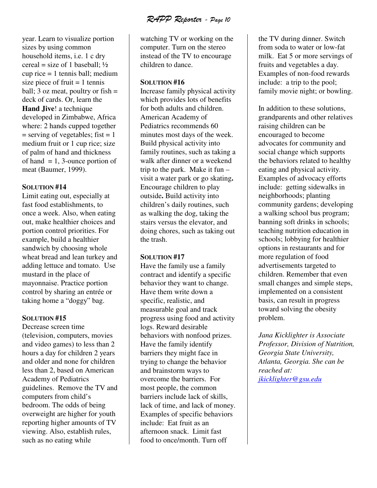RAPP Reporter - Page 10

year. Learn to visualize portion sizes by using common household items, i.e. 1 c dry cereal = size of 1 baseball;  $\frac{1}{2}$ cup rice  $= 1$  tennis ball; medium size piece of fruit  $= 1$  tennis ball; 3 oz meat, poultry or  $fish =$ deck of cards. Or, learn the **Hand Jive**! a technique developed in Zimbabwe, Africa where: 2 hands cupped together  $=$  serving of vegetables; fist  $= 1$ medium fruit or 1 cup rice; size of palm of hand and thickness of hand  $= 1$ , 3-ounce portion of meat (Baumer, 1999).

#### **SOLUTION #14**

Limit eating out, especially at fast food establishments, to once a week. Also, when eating out, make healthier choices and portion control priorities. For example, build a healthier sandwich by choosing whole wheat bread and lean turkey and adding lettuce and tomato. Use mustard in the place of mayonnaise. Practice portion control by sharing an entrée or taking home a "doggy" bag.

#### **SOLUTION #15**

Decrease screen time (television, computers, movies and video games) to less than 2 hours a day for children 2 years and older and none for children less than 2, based on American Academy of Pediatrics guidelines. Remove the TV and computers from child's bedroom. The odds of being overweight are higher for youth reporting higher amounts of TV viewing. Also, establish rules, such as no eating while

watching TV or working on the computer. Turn on the stereo instead of the TV to encourage children to dance.

#### **SOLUTION #16**

Increase family physical activity which provides lots of benefits for both adults and children. American Academy of Pediatrics recommends 60 minutes most days of the week. Build physical activity into family routines, such as taking a walk after dinner or a weekend trip to the park. Make it fun – visit a water park or go skating**.**  Encourage children to play outside**.** Build activity into children's daily routines, such as walking the dog, taking the stairs versus the elevator, and doing chores, such as taking out the trash.

#### **SOLUTION #17**

Have the family use a family contract and identify a specific behavior they want to change. Have them write down a specific, realistic, and measurable goal and track progress using food and activity logs. Reward desirable behaviors with nonfood prizes. Have the family identify barriers they might face in trying to change the behavior and brainstorm ways to overcome the barriers. For most people, the common barriers include lack of skills, lack of time, and lack of money. Examples of specific behaviors include: Eat fruit as an afternoon snack. Limit fast food to once/month. Turn off

the TV during dinner. Switch from soda to water or low-fat milk. Eat 5 or more servings of fruits and vegetables a day. Examples of non-food rewards include: a trip to the pool; family movie night; or bowling.

In addition to these solutions, grandparents and other relatives raising children can be encouraged to become advocates for community and social change which supports the behaviors related to healthy eating and physical activity. Examples of advocacy efforts include: getting sidewalks in neighborhoods; planting community gardens; developing a walking school bus program; banning soft drinks in schools; teaching nutrition education in schools; lobbying for healthier options in restaurants and for more regulation of food advertisements targeted to children. Remember that even small changes and simple steps, implemented on a consistent basis, can result in progress toward solving the obesity problem.

*Jana Kicklighter is Associate Professor, Division of Nutrition, Georgia State University, Atlanta, Georgia. She can be reached at: jkicklighter@gsu.edu*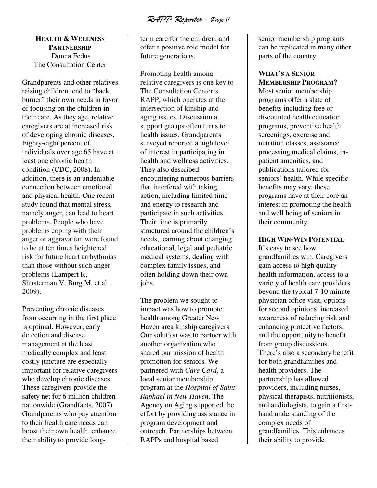RAPP Reporter - Page 11

# **HEALTH & WELLNESS PARTNERSHIP** Donna Fedus The Consultation Center

Grandparents and other relatives raising children tend to "back burner" their own needs in favor of focusing on the children in their care. As they age, relative caregivers are at increased risk of developing chronic diseases. Eighty-eight percent of individuals over age 65 have at least one chronic health condition (CDC, 2008). In addition, there is an undeniable connection between emotional and physical health. One recent study found that mental stress, namely anger, can lead to heart problems. People who have problems coping with their anger or aggravation were found to be at ten times heightened risk for future heart arrhythmias than those without such anger problems (Lampert R, Shusterman V, Burg M, et al., 2009).

Preventing chronic diseases from occurring in the first place is optimal. However, early detection and disease management at the least medically complex and least costly juncture are especially important for relative caregivers who develop chronic diseases. These caregivers provide the safety net for 6 million children nationwide (Grandfacts, 2007). Grandparents who pay attention to their health care needs can boost their own health, enhance their ability to provide longterm care for the children, and offer a positive role model for future generations.

Promoting health among relative caregivers is one key to The Consultation Center's RAPP, which operates at the intersection of kinship and aging issues. Discussion at support groups often turns to health issues. Grandparents surveyed reported a high level of interest in participating in health and wellness activities. They also described encountering numerous barriers that interfered with taking action, including limited time and energy to research and participate in such activities. Their time is primarily structured around the children's needs, learning about changing educational, legal and pediatric medical systems, dealing with complex family issues, and often holding down their own jobs.

The problem we sought to impact was how to promote health among Greater New Haven area kinship caregivers. Our solution was to partner with another organization who shared our mission of health promotion for seniors. We partnered with *Care Card*, a local senior membership program at the *Hospital of Saint Raphael in New Haven*. The Agency on Aging supported the effort by providing assistance in program development and outreach. Partnerships between RAPPs and hospital based

senior membership programs can be replicated in many other parts of the country.

#### **WHAT'S A SENIOR MEMBERSHIP PROGRAM?**

Most senior membership programs offer a slate of benefits including free or discounted health education programs, preventive health screenings, exercise and nutrition classes, assistance processing medical claims, inpatient amenities, and publications tailored for seniors' health. While specific benefits may vary, these programs have at their core an interest in promoting the health and well being of seniors in their community.

#### **HIGH WIN-WIN POTENTIAL**

It's easy to see how grandfamilies win. Caregivers gain access to high quality health information, access to a variety of health care providers beyond the typical 7-10 minute physician office visit, options for second opinions, increased awareness of reducing risk and enhancing protective factors, and the opportunity to benefit from group discussions. There's also a secondary benefit for both grandfamilies and health providers. The partnership has allowed providers, including nurses, physical therapists, nutritionists, and audiologists, to gain a firsthand understanding of the complex needs of grandfamilies. This enhances their ability to provide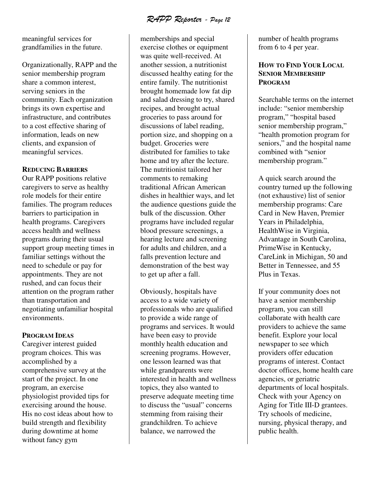RAPP Reporter - Page 12

meaningful services for grandfamilies in the future.

Organizationally, RAPP and the senior membership program share a common interest, serving seniors in the community. Each organization brings its own expertise and infrastructure, and contributes to a cost effective sharing of information, leads on new clients, and expansion of meaningful services.

#### **REDUCING BARRIERS**

Our RAPP positions relative caregivers to serve as healthy role models for their entire families. The program reduces barriers to participation in health programs. Caregivers access health and wellness programs during their usual support group meeting times in familiar settings without the need to schedule or pay for appointments. They are not rushed, and can focus their attention on the program rather than transportation and negotiating unfamiliar hospital environments.

#### **PROGRAM IDEAS**

Caregiver interest guided program choices. This was accomplished by a comprehensive survey at the start of the project. In one program, an exercise physiologist provided tips for exercising around the house. His no cost ideas about how to build strength and flexibility during downtime at home without fancy gym

memberships and special exercise clothes or equipment was quite well-received. At another session, a nutritionist discussed healthy eating for the entire family. The nutritionist brought homemade low fat dip and salad dressing to try, shared recipes, and brought actual groceries to pass around for discussions of label reading, portion size, and shopping on a budget. Groceries were distributed for families to take home and try after the lecture. The nutritionist tailored her comments to remaking traditional African American dishes in healthier ways, and let the audience questions guide the bulk of the discussion. Other programs have included regular blood pressure screenings, a hearing lecture and screening for adults and children, and a falls prevention lecture and demonstration of the best way to get up after a fall.

Obviously, hospitals have access to a wide variety of professionals who are qualified to provide a wide range of programs and services. It would have been easy to provide monthly health education and screening programs. However, one lesson learned was that while grandparents were interested in health and wellness topics, they also wanted to preserve adequate meeting time to discuss the "usual" concerns stemming from raising their grandchildren. To achieve balance, we narrowed the

number of health programs from 6 to 4 per year.

# **HOW TO FIND YOUR LOCAL SENIOR MEMBERSHIP PROGRAM**

Searchable terms on the internet include: "senior membership program," "hospital based senior membership program," "health promotion program for seniors," and the hospital name combined with "senior membership program."

A quick search around the country turned up the following (not exhaustive) list of senior membership programs: Care Card in New Haven, Premier Years in Philadelphia, HealthWise in Virginia, Advantage in South Carolina, PrimeWise in Kentucky, CareLink in Michigan, 50 and Better in Tennessee, and 55 Plus in Texas.

If your community does not have a senior membership program, you can still collaborate with health care providers to achieve the same benefit. Explore your local newspaper to see which providers offer education programs of interest. Contact doctor offices, home health care agencies, or geriatric departments of local hospitals. Check with your Agency on Aging for Title III-D grantees. Try schools of medicine, nursing, physical therapy, and public health.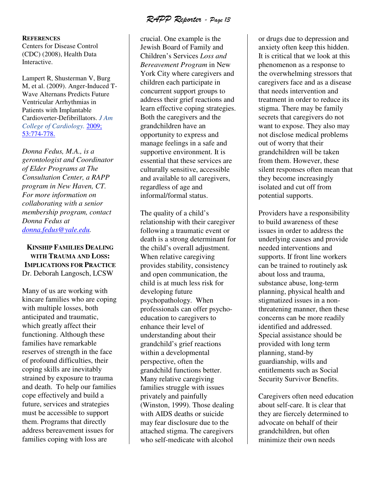RAPP Reporter - Page 13

**REFERENCES**

Centers for Disease Control (CDC) (2008), Health Data Interactive.

Lampert R, Shusterman V, Burg M, et al. (2009). Anger-Induced T-Wave Alternans Predicts Future Ventricular Arrhythmias in Patients with Implantable Cardioverter-Defibrillators. *J Am College of Cardiology.* 2009; 53:774-778.

*Donna Fedus, M.A., is a gerontologist and Coordinator of Elder Programs at The Consultation Center, a RAPP program in New Haven, CT. For more information on collaborating with a senior membership program, contact Donna Fedus at donna.fedus@yale.edu.* 

# **KINSHIP FAMILIES DEALING WITH TRAUMA AND LOSS: IMPLICATIONS FOR PRACTICE**  Dr. Deborah Langosch, LCSW

Many of us are working with kincare families who are coping with multiple losses, both anticipated and traumatic, which greatly affect their functioning. Although these families have remarkable reserves of strength in the face of profound difficulties, their coping skills are inevitably strained by exposure to trauma and death. To help our families cope effectively and build a future, services and strategies must be accessible to support them. Programs that directly address bereavement issues for families coping with loss are

crucial. One example is the Jewish Board of Family and Children's Services *Loss and Bereavement Program* in New York City where caregivers and children each participate in concurrent support groups to address their grief reactions and learn effective coping strategies. Both the caregivers and the grandchildren have an opportunity to express and manage feelings in a safe and supportive environment. It is essential that these services are culturally sensitive, accessible and available to all caregivers, regardless of age and informal/formal status.

The quality of a child's relationship with their caregiver following a traumatic event or death is a strong determinant for the child's overall adjustment. When relative caregiving provides stability, consistency and open communication, the child is at much less risk for developing future psychopathology. When professionals can offer psychoeducation to caregivers to enhance their level of understanding about their grandchild's grief reactions within a developmental perspective, often the grandchild functions better. Many relative caregiving families struggle with issues privately and painfully (Winston, 1999). Those dealing with AIDS deaths or suicide may fear disclosure due to the attached stigma. The caregivers who self-medicate with alcohol

or drugs due to depression and anxiety often keep this hidden. It is critical that we look at this phenomenon as a response to the overwhelming stressors that caregivers face and as a disease that needs intervention and treatment in order to reduce its stigma. There may be family secrets that caregivers do not want to expose. They also may not disclose medical problems out of worry that their grandchildren will be taken from them. However, these silent responses often mean that they become increasingly isolated and cut off from potential supports.

Providers have a responsibility to build awareness of these issues in order to address the underlying causes and provide needed interventions and supports. If front line workers can be trained to routinely ask about loss and trauma, substance abuse, long-term planning, physical health and stigmatized issues in a nonthreatening manner, then these concerns can be more readily identified and addressed. Special assistance should be provided with long term planning, stand-by guardianship, wills and entitlements such as Social Security Survivor Benefits.

Caregivers often need education about self-care. It is clear that they are fiercely determined to advocate on behalf of their grandchildren, but often minimize their own needs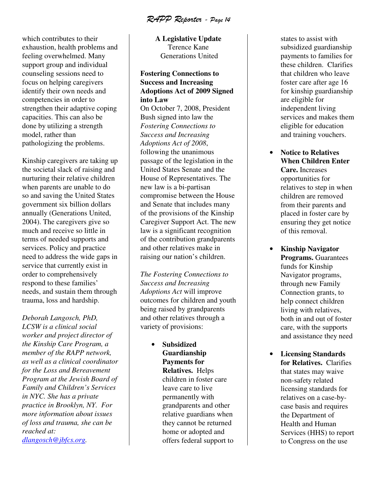RAPP Reporter - Page 14

which contributes to their exhaustion, health problems and feeling overwhelmed. Many support group and individual counseling sessions need to focus on helping caregivers identify their own needs and competencies in order to strengthen their adaptive coping capacities. This can also be done by utilizing a strength model, rather than pathologizing the problems.

Kinship caregivers are taking up the societal slack of raising and nurturing their relative children when parents are unable to do so and saving the United States government six billion dollars annually (Generations United, 2004). The caregivers give so much and receive so little in terms of needed supports and services. Policy and practice need to address the wide gaps in service that currently exist in order to comprehensively respond to these families' needs, and sustain them through trauma, loss and hardship.

*Deborah Langosch, PhD, LCSW is a clinical social worker and project director of the Kinship Care Program, a member of the RAPP network, as well as a clinical coordinator for the Loss and Bereavement Program at the Jewish Board of Family and Children's Services in NYC. She has a private practice in Brooklyn, NY. For more information about issues of loss and trauma, she can be reached at: dlangosch@jbfcs.org.* 

**A Legislative Update**  Terence Kane Generations United

# **Fostering Connections to Success and Increasing Adoptions Act of 2009 Signed into Law**

On October 7, 2008, President Bush signed into law the *Fostering Connections to Success and Increasing Adoptions Act of 2008*, following the unanimous passage of the legislation in the United States Senate and the House of Representatives. The new law is a bi-partisan compromise between the House and Senate that includes many of the provisions of the Kinship Caregiver Support Act. The new law is a significant recognition of the contribution grandparents and other relatives make in raising our nation's children.

*The Fostering Connections to Success and Increasing Adoptions Act* will improve outcomes for children and youth being raised by grandparents and other relatives through a variety of provisions:

> • **Subsidized Guardianship Payments for Relatives.** Helps children in foster care leave care to live permanently with grandparents and other relative guardians when they cannot be returned home or adopted and offers federal support to

states to assist with subsidized guardianship payments to families for these children. Clarifies that children who leave foster care after age 16 for kinship guardianship are eligible for independent living services and makes them eligible for education and training vouchers.

- **Notice to Relatives When Children Enter Care.** Increases opportunities for relatives to step in when children are removed from their parents and placed in foster care by ensuring they get notice of this removal.
- **Kinship Navigator Programs.** Guarantees funds for Kinship Navigator programs, through new Family Connection grants, to help connect children living with relatives, both in and out of foster care, with the supports and assistance they need
- **Licensing Standards for Relatives.** Clarifies that states may waive non-safety related licensing standards for relatives on a case-bycase basis and requires the Department of Health and Human Services (HHS) to report to Congress on the use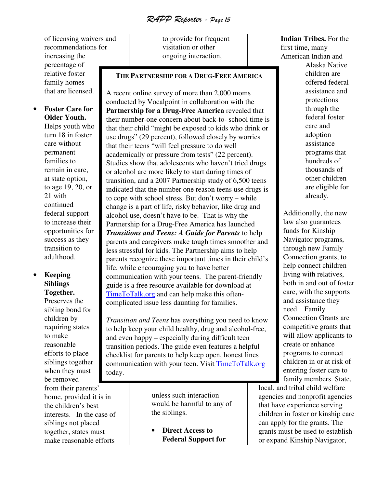RAPP Reporter - Page 15

of licensing waivers and recommendations for increasing the percentage of relative foster family homes that are licensed.

• **Foster Care for Older Youth.**  Helps youth who turn 18 in foster care without permanent families to remain in care, at state option, to age 19, 20, or 21 with continued federal support to increase their opportunities for success as they transition to adulthood.

# • **Keeping Siblings Together.**

Preserves the sibling bond for children by requiring states to make reasonable efforts to place siblings together when they must be removed from their parents' home, provided it is in the children's best interests. In the case of siblings not placed together, states must make reasonable efforts

to provide for frequent visitation or other ongoing interaction,

#### **THE PARTNERSHIP FOR A DRUG-FREE AMERICA**

A recent online survey of more than 2,000 moms conducted by Vocalpoint in collaboration with the **Partnership for a Drug-Free America** revealed that their number-one concern about back-to- school time is that their child "might be exposed to kids who drink or use drugs" (29 percent), followed closely by worries that their teens "will feel pressure to do well academically or pressure from tests" (22 percent). Studies show that adolescents who haven't tried drugs or alcohol are more likely to start during times of transition, and a 2007 Partnership study of 6,500 teens indicated that the number one reason teens use drugs is to cope with school stress. But don't worry – while change is a part of life, risky behavior, like drug and alcohol use, doesn't have to be. That is why the Partnership for a Drug-Free America has launched *Transitions and Teens: A Guide for Parents* to help parents and caregivers make tough times smoother and less stressful for kids. The Partnership aims to help parents recognize these important times in their child's life, while encouraging you to have better communication with your teens. The parent-friendly guide is a free resource available for download at TimeToTalk.org and can help make this oftencomplicated issue less daunting for families.

*Transition and Teens* has everything you need to know to help keep your child healthy, drug and alcohol-free, and even happy – especially during difficult teen transition periods. The guide even features a helpful checklist for parents to help keep open, honest lines communication with your teen. Visit TimeToTalk.org today.

> unless such interaction would be harmful to any of the siblings.

• **Direct Access to Federal Support for** 

#### **Indian Tribes.** For the first time, many American Indian and

Alaska Native children are offered federal assistance and protections through the federal foster care and adoption assistance programs that hundreds of thousands of other children are eligible for already.

Additionally, the new law also guarantees funds for Kinship Navigator programs, through new Family Connection grants, to help connect children living with relatives, both in and out of foster care, with the supports and assistance they need. Family Connection Grants are competitive grants that will allow applicants to create or enhance programs to connect children in or at risk of entering foster care to family members. State,

local, and tribal child welfare agencies and nonprofit agencies that have experience serving children in foster or kinship care can apply for the grants. The grants must be used to establish or expand Kinship Navigator,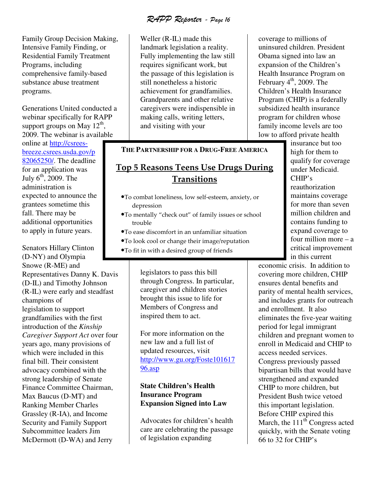RAPP Reporter - Page 16

Family Group Decision Making, Intensive Family Finding, or Residential Family Treatment Programs, including comprehensive family-based substance abuse treatment programs.

Generations United conducted a webinar specifically for RAPP support groups on May  $12^{th}$ , 2009. The webinar is available

online at http://csreesbreeze.csrees.usda.gov/p 82065250/. The deadline for an application was July  $6<sup>th</sup>$ , 2009. The administration is expected to announce the grantees sometime this fall. There may be additional opportunities to apply in future years.

Senators Hillary Clinton (D-NY) and Olympia Snowe (R-ME) and Representatives Danny K. Davis (D-IL) and Timothy Johnson (R-IL) were early and steadfast champions of legislation to support grandfamilies with the first introduction of the *Kinship Caregiver Support Act* over four years ago, many provisions of which were included in this final bill. Their consistent advocacy combined with the strong leadership of Senate Finance Committee Chairman, Max Baucus (D-MT) and Ranking Member Charles Grassley (R-IA), and Income Security and Family Support Subcommittee leaders Jim McDermott (D-WA) and Jerry

Weller (R-IL) made this landmark legislation a reality. Fully implementing the law still requires significant work, but the passage of this legislation is still nonetheless a historic achievement for grandfamilies. Grandparents and other relative caregivers were indispensible in making calls, writing letters, and visiting with your

#### **THE PARTNERSHIP FOR A DRUG-FREE AMERICA**

# Top 5 Reasons Teens Use Drugs During **Transitions**

- •To combat loneliness, low self-esteem, anxiety, or depression
- •To mentally "check out" of family issues or school trouble
- •To ease discomfort in an unfamiliar situation
- •To look cool or change their image/reputation
- •To fit in with a desired group of friends

legislators to pass this bill through Congress. In particular, caregiver and children stories brought this issue to life for Members of Congress and inspired them to act.

For more information on the new law and a full list of updated resources, visit http://www.gu.org/Foste101617 96.asp

# **State Children's Health Insurance Program Expansion Signed into Law**

Advocates for children's health care are celebrating the passage of legislation expanding

coverage to millions of uninsured children. President Obama signed into law an expansion of the Children's Health Insurance Program on February  $4<sup>th</sup>$ , 2009. The Children's Health Insurance Program (CHIP) is a federally subsidized health insurance program for children whose family income levels are too low to afford private health

> insurance but too high for them to qualify for coverage under Medicaid. CHIP's reauthorization maintains coverage for more than seven million children and contains funding to expand coverage to four million more – a critical improvement in this current

economic crisis. In addition to covering more children, CHIP ensures dental benefits and parity of mental health services, and includes grants for outreach and enrollment. It also eliminates the five-year waiting period for legal immigrant children and pregnant women to enroll in Medicaid and CHIP to access needed services. Congress previously passed bipartisan bills that would have strengthened and expanded CHIP to more children, but President Bush twice vetoed this important legislation. Before CHIP expired this March, the  $111<sup>th</sup>$  Congress acted quickly, with the Senate voting 66 to 32 for CHIP's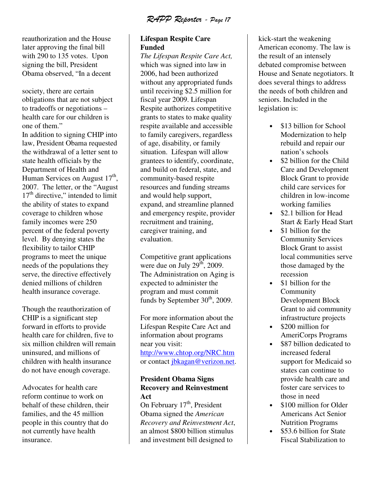RAPP Reporter - Page 17

reauthorization and the House later approving the final bill with 290 to 135 votes. Upon signing the bill, President Obama observed, "In a decent

society, there are certain obligations that are not subject to tradeoffs or negotiations – health care for our children is one of them."

In addition to signing CHIP into law, President Obama requested the withdrawal of a letter sent to state health officials by the Department of Health and Human Services on August  $17<sup>th</sup>$ , 2007. The letter, or the "August  $17<sup>th</sup>$  directive," intended to limit the ability of states to expand coverage to children whose family incomes were 250 percent of the federal poverty level. By denying states the flexibility to tailor CHIP programs to meet the unique needs of the populations they serve, the directive effectively denied millions of children health insurance coverage.

Though the reauthorization of CHIP is a significant step forward in efforts to provide health care for children, five to six million children will remain uninsured, and millions of children with health insurance do not have enough coverage.

Advocates for health care reform continue to work on behalf of these children, their families, and the 45 million people in this country that do not currently have health insurance.

# **Lifespan Respite Care Funded**

*The Lifespan Respite Care Act,* which was signed into law in 2006, had been authorized without any appropriated funds until receiving \$2.5 million for fiscal year 2009. Lifespan Respite authorizes competitive grants to states to make quality respite available and accessible to family caregivers, regardless of age, disability, or family situation. Lifespan will allow grantees to identify, coordinate, and build on federal, state, and community-based respite resources and funding streams and would help support, expand, and streamline planned and emergency respite, provider recruitment and training, caregiver training, and evaluation.

Competitive grant applications were due on July  $29<sup>th</sup>$ , 2009. The Administration on Aging is expected to administer the program and must commit funds by September  $30<sup>th</sup>$ , 2009.

For more information about the Lifespan Respite Care Act and information about programs near you visit: http://www.chtop.org/NRC.htm or contact jbkagan@verizon.net.

# **President Obama Signs Recovery and Reinvestment Act**

On February  $17<sup>th</sup>$ , President Obama signed the *American Recovery and Reinvestment Act*, an almost \$800 billion stimulus and investment bill designed to

kick-start the weakening American economy. The law is the result of an intensely debated compromise between House and Senate negotiators. It does several things to address the needs of both children and seniors. Included in the legislation is:

- \$13 billion for School Modernization to help rebuild and repair our nation's schools
- \$2 billion for the Child Care and Development Block Grant to provide child care services for children in low-income working families
- \$2.1 billion for Head Start & Early Head Start
- \$1 billion for the Community Services Block Grant to assist local communities serve those damaged by the recession
- \$1 billion for the Community Development Block Grant to aid community infrastructure projects
- \$200 million for AmeriCorps Programs
- \$87 billion dedicated to increased federal support for Medicaid so states can continue to provide health care and foster care services to those in need
- \$100 million for Older Americans Act Senior Nutrition Programs
- \$53.6 billion for State Fiscal Stabilization to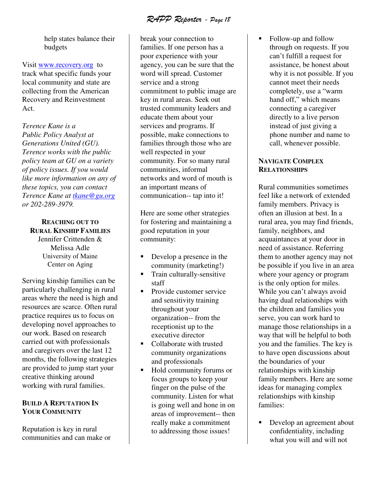RAPP Reporter - Page 18

help states balance their budgets

Visit www.recovery.org to track what specific funds your local community and state are collecting from the American Recovery and Reinvestment Act.

*Terence Kane is a Public Policy Analyst at Generations United (GU). Terence works with the public policy team at GU on a variety of policy issues. If you would like more information on any of these topics, you can contact Terence Kane at tkane@gu.org or 202-289-3979.* 

# **REACHING OUT TO RURAL KINSHIP FAMILIES**

Jennifer Crittenden & Melissa Adle University of Maine Center on Aging

Serving kinship families can be particularly challenging in rural areas where the need is high and resources are scarce. Often rural practice requires us to focus on developing novel approaches to our work. Based on research carried out with professionals and caregivers over the last 12 months, the following strategies are provided to jump start your creative thinking around working with rural families.

# **BUILD A REPUTATION IN YOUR COMMUNITY**

Reputation is key in rural communities and can make or

break your connection to families. If one person has a poor experience with your agency, you can be sure that the word will spread. Customer service and a strong commitment to public image are key in rural areas. Seek out trusted community leaders and educate them about your services and programs. If possible, make connections to families through those who are well respected in your community. For so many rural communities, informal networks and word of mouth is an important means of communication-- tap into it!

Here are some other strategies for fostering and maintaining a good reputation in your community:

- Develop a presence in the community (marketing!)
- **Train culturally-sensitive** staff
- Provide customer service and sensitivity training throughout your organization-- from the receptionist up to the executive director
- Collaborate with trusted community organizations and professionals
- Hold community forums or focus groups to keep your finger on the pulse of the community. Listen for what is going well and hone in on areas of improvement-- then really make a commitment to addressing those issues!

• Follow-up and follow through on requests. If you can't fulfill a request for assistance, be honest about why it is not possible. If you cannot meet their needs completely, use a "warm hand off," which means connecting a caregiver directly to a live person instead of just giving a phone number and name to call, whenever possible.

# **NAVIGATE COMPLEX RELATIONSHIPS**

Rural communities sometimes feel like a network of extended family members. Privacy is often an illusion at best. In a rural area, you may find friends, family, neighbors, and acquaintances at your door in need of assistance. Referring them to another agency may not be possible if you live in an area where your agency or program is the only option for miles. While you can't always avoid having dual relationships with the children and families you serve, you can work hard to manage those relationships in a way that will be helpful to both you and the families. The key is to have open discussions about the boundaries of your relationships with kinship family members. Here are some ideas for managing complex relationships with kinship families:

Develop an agreement about confidentiality, including what you will and will not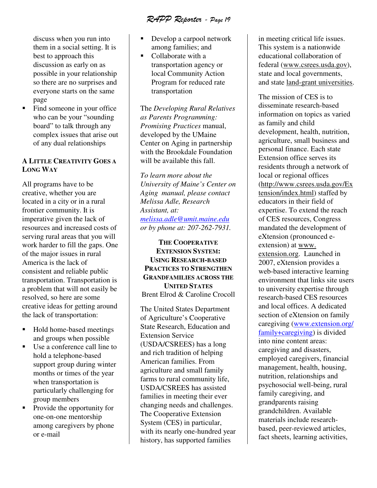RAPP Reporter - Page 19

discuss when you run into them in a social setting. It is best to approach this discussion as early on as possible in your relationship so there are no surprises and everyone starts on the same page

• Find someone in your office who can be your "sounding" board" to talk through any complex issues that arise out of any dual relationships

# **A LITTLE CREATIVITY GOES A LONG WAY**

All programs have to be creative, whether you are located in a city or in a rural frontier community. It is imperative given the lack of resources and increased costs of serving rural areas that you will work harder to fill the gaps. One of the major issues in rural America is the lack of consistent and reliable public transportation. Transportation is a problem that will not easily be resolved, so here are some creative ideas for getting around the lack of transportation:

- Hold home-based meetings and groups when possible
- Use a conference call line to hold a telephone-based support group during winter months or times of the year when transportation is particularly challenging for group members
- Provide the opportunity for one-on-one mentorship among caregivers by phone or e-mail
- Develop a carpool network among families; and
- Collaborate with a transportation agency or local Community Action Program for reduced rate transportation

The *Developing Rural Relatives as Parents Programming: Promising Practices* manual, developed by the UMaine Center on Aging in partnership with the Brookdale Foundation will be available this fall.

*To learn more about the University of Maine's Center on Aging manual, please contact Melissa Adle, Research Assistant, at: melissa.adle@umit.maine.edu or by phone at: 207-262-7931.* 

**THE COOPERATIVE EXTENSION SYSTEM: USING RESEARCH-BASED PRACTICES TO STRENGTHEN GRANDFAMILIES ACROSS THE UNITED STATES** Brent Elrod & Caroline Crocoll

The United States Department of Agriculture's Cooperative State Research, Education and Extension Service (USDA/CSREES) has a long and rich tradition of helping American families. From agriculture and small family farms to rural community life, USDA/CSREES has assisted families in meeting their ever changing needs and challenges. The Cooperative Extension System (CES) in particular, with its nearly one-hundred year history, has supported families

in meeting critical life issues. This system is a nationwide educational collaboration of federal (www.csrees.usda.gov), state and local governments, and state land-grant universities.

The mission of CES is to disseminate research-based information on topics as varied as family and child development, health, nutrition, agriculture, small business and personal finance. Each state Extension office serves its residents through a network of local or regional offices (http://www.csrees.usda.gov/Ex tension/index.html) staffed by educators in their field of expertise. To extend the reach of CES resources, Congress mandated the development of eXtension (pronounced eextension) at www. extension.org. Launched in 2007, eXtension provides a web-based interactive learning environment that links site users to university expertise through research-based CES resources and local offices. A dedicated section of eXtension on family caregiving (www.extension.org/ family+caregiving) is divided into nine content areas: caregiving and disasters, employed caregivers, financial management, health, housing, nutrition, relationships and psychosocial well-being, rural family caregiving, and grandparents raising grandchildren. Available materials include researchbased, peer-reviewed articles, fact sheets, learning activities,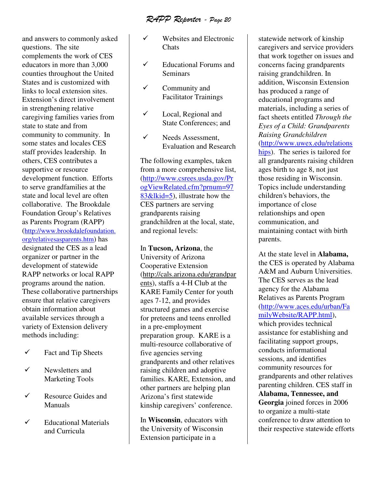RAPP Reporter - Page 20

and answers to commonly asked questions. The site complements the work of CES educators in more than 3,000 counties throughout the United States and is customized with links to local extension sites. Extension's direct involvement in strengthening relative caregiving families varies from state to state and from community to community. In some states and locales CES staff provides leadership. In others, CES contributes a supportive or resource development function. Efforts to serve grandfamilies at the state and local level are often collaborative. The Brookdale Foundation Group's Relatives as Parents Program (RAPP) (http://www.brookdalefoundation. org/relativesasparents.htm) has designated the CES as a lead organizer or partner in the development of statewide RAPP networks or local RAPP programs around the nation. These collaborative partnerships ensure that relative caregivers obtain information about available services through a variety of Extension delivery methods including:

- $\checkmark$ Fact and Tip Sheets
- $\checkmark$  Newsletters and Marketing Tools
- $\checkmark$  Resource Guides and Manuals
- $\checkmark$  Educational Materials and Curricula
- $\checkmark$  Websites and Electronic **Chats**
- $\checkmark$  Educational Forums and Seminars
- $\checkmark$  Community and Facilitator Trainings
- $\checkmark$  Local, Regional and State Conferences; and
- $\checkmark$  Needs Assessment, Evaluation and Research

The following examples, taken from a more comprehensive list, (http://www.csrees.usda.gov/Pr ogViewRelated.cfm?prnum=97 83&lkid=5), illustrate how the CES partners are serving grandparents raising grandchildren at the local, state, and regional levels:

In **Tucson, Arizona**, the University of Arizona Cooperative Extension (http://cals.arizona.edu/grandpar ents), staffs a 4-H Club at the KARE Family Center for youth ages 7-12, and provides structured games and exercise for preteens and teens enrolled in a pre-employment preparation group. KARE is a multi-resource collaborative of five agencies serving grandparents and other relatives raising children and adoptive families. KARE, Extension, and other partners are helping plan Arizona's first statewide kinship caregivers' conference.

In **Wisconsin**, educators with the University of Wisconsin Extension participate in a

statewide network of kinship caregivers and service providers that work together on issues and concerns facing grandparents raising grandchildren. In addition, Wisconsin Extension has produced a range of educational programs and materials, including a series of fact sheets entitled *Through the Eyes of a Child: Grandparents Raising Grandchildren* (http://www.uwex.edu/relations hips). The series is tailored for all grandparents raising children ages birth to age 8, not just those residing in Wisconsin. Topics include understanding children's behaviors, the importance of close relationships and open communication, and maintaining contact with birth parents.

At the state level in **Alabama,** the CES is operated by Alabama A&M and Auburn Universities. The CES serves as the lead agency for the Alabama Relatives as Parents Program (http://www.aces.edu/urban/Fa milyWebsite/RAPP.html), which provides technical assistance for establishing and facilitating support groups, conducts informational sessions, and identifies community resources for grandparents and other relatives parenting children. CES staff in **Alabama, Tennessee, and Georgia** joined forces in 2006 to organize a multi-state conference to draw attention to their respective statewide efforts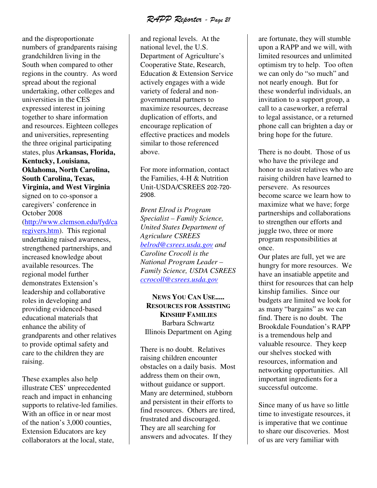RAPP Reporter - Page 21

and the disproportionate numbers of grandparents raising grandchildren living in the South when compared to other regions in the country. As word spread about the regional undertaking, other colleges and universities in the CES expressed interest in joining together to share information and resources. Eighteen colleges and universities, representing the three original participating states, plus **Arkansas, Florida, Kentucky, Louisiana, Oklahoma, North Carolina, South Carolina, Texas, Virginia, and West Virginia** signed on to co-sponsor a caregivers' conference in October 2008 (http://www.clemson.edu/fyd/ca regivers.htm). This regional undertaking raised awareness, strengthened partnerships, and increased knowledge about available resources. The regional model further demonstrates Extension's leadership and collaborative roles in developing and providing evidenced-based educational materials that enhance the ability of

grandparents and other relatives to provide optimal safety and care to the children they are raising.

These examples also help illustrate CES' unprecedented reach and impact in enhancing supports to relative-led families. With an office in or near most of the nation's 3,000 counties, Extension Educators are key collaborators at the local, state,

and regional levels. At the national level, the U.S. Department of Agriculture's Cooperative State, Research, Education & Extension Service actively engages with a wide variety of federal and nongovernmental partners to maximize resources, decrease duplication of efforts, and encourage replication of effective practices and models similar to those referenced above.

For more information, contact the Families, 4-H & Nutrition Unit-USDA/CSREES 202-720- 2908.

*Brent Elrod is Program Specialist – Family Science, United States Department of Agriculure CSREES belrod@csrees.usda.gov and Caroline Crocoll is the National Program Leader – Family Science, USDA CSREES ccrocoll@csrees.usda.gov*

**NEWS YOU CAN USE..... RESOURCES FOR ASSISTING KINSHIP FAMILIES** Barbara Schwartz Illinois Department on Aging

There is no doubt. Relatives raising children encounter obstacles on a daily basis. Most address them on their own, without guidance or support. Many are determined, stubborn and persistent in their efforts to find resources. Others are tired, frustrated and discouraged. They are all searching for answers and advocates. If they

are fortunate, they will stumble upon a RAPP and we will, with limited resources and unlimited optimism try to help. Too often we can only do "so much" and not nearly enough. But for these wonderful individuals, an invitation to a support group, a call to a caseworker, a referral to legal assistance, or a returned phone call can brighten a day or bring hope for the future.

There is no doubt. Those of us who have the privilege and honor to assist relatives who are raising children have learned to persevere. As resources become scarce we learn how to maximize what we have; forge partnerships and collaborations to strengthen our efforts and juggle two, three or more program responsibilities at once.

Our plates are full, yet we are hungry for more resources. We have an insatiable appetite and thirst for resources that can help kinship families. Since our budgets are limited we look for as many "bargains" as we can find. There is no doubt. The Brookdale Foundation's RAPP is a tremendous help and valuable resource. They keep our shelves stocked with resources, information and networking opportunities. All important ingredients for a successful outcome.

Since many of us have so little time to investigate resources, it is imperative that we continue to share our discoveries. Most of us are very familiar with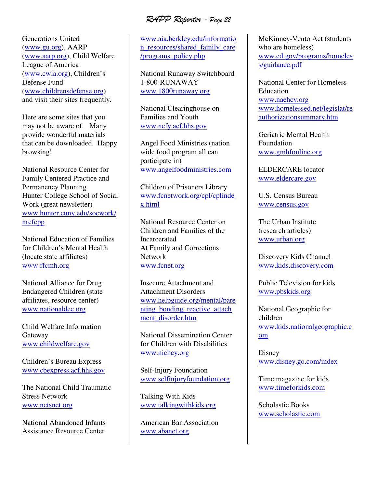RAPP Reporter - Page 22

Generations United (www.gu.org), AARP (www.aarp.org), Child Welfare League of America (www.cwla.org), Children's Defense Fund (www.childrensdefense.org) and visit their sites frequently.

Here are some sites that you may not be aware of. Many provide wonderful materials that can be downloaded. Happy browsing!

National Resource Center for Family Centered Practice and Permanency Planning Hunter College School of Social Work (great newsletter) www.hunter.cuny.edu/socwork/ nrcfcpp

National Education of Families for Children's Mental Health (locate state affiliates) www.ffcmh.org

National Alliance for Drug Endangered Children (state affiliates, resource center) www.nationaldec.org

Child Welfare Information Gateway www.childwelfare.gov

Children's Bureau Express www.cbexpress.acf.hhs.gov

The National Child Traumatic Stress Network www.nctsnet.org

National Abandoned Infants Assistance Resource Center

www.aia.berkley.edu/informatio n\_resources/shared\_family\_care /programs\_policy.php

National Runaway Switchboard 1-800-RUNAWAY www.1800runaway.org

National Clearinghouse on Families and Youth www.ncfy.acf.hhs.gov

Angel Food Ministries (nation wide food program all can participate in) www.angelfoodministries.com

Children of Prisoners Library www.fcnetwork.org/cpl/cplinde x.html

National Resource Center on Children and Families of the **Incarcerated** At Family and Corrections Network www.fcnet.org

Insecure Attachment and Attachment Disorders www.helpguide.org/mental/pare nting\_bonding\_reactive\_attach ment\_disorder.htm

National Dissemination Center for Children with Disabilities www.nichcy.org

Self-Injury Foundation www.selfinjuryfoundation.org

Talking With Kids www.talkingwithkids.org

American Bar Association www.abanet.org

McKinney-Vento Act (students who are homeless) www.ed.gov/programs/homeles s/guidance.pdf

National Center for Homeless Education www.naehcy.org www.homelessed.net/legislat/re authorizationsummary.htm

Geriatric Mental Health Foundation www.gmhfonline.org

ELDERCARE locator www.eldercare.gov

U.S. Census Bureau www.census.gov

The Urban Institute (research articles) www.urban.org

Discovery Kids Channel www.kids.discovery.com

Public Television for kids www.pbskids.org

National Geographic for children www.kids.nationalgeographic.c om

Disney www.disney.go.com/index

Time magazine for kids www.timeforkids.com

Scholastic Books www.scholastic.com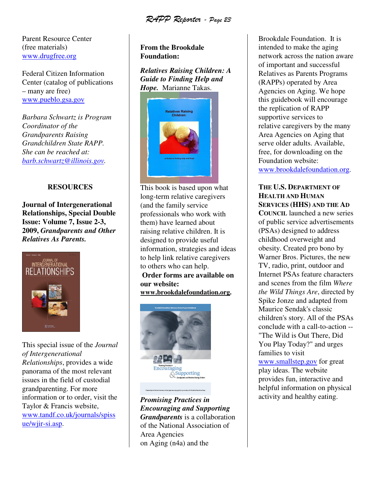RAPP Reporter - Page 23

Parent Resource Center (free materials) www.drugfree.org

Federal Citizen Information Center (catalog of publications – many are free) www.pueblo.gsa.gov

*Barbara Schwartz is Program Coordinator of the Grandparents Raising Grandchildren State RAPP. She can be reached at: barb.schwartz@illinois.gov.* 

# **RESOURCES**

**Journal of Intergenerational Relationships, Special Double Issue: Volume 7, Issue 2-3, 2009,** *Grandparents and Other Relatives As Parents.* 



This special issue of the *Journal of Intergenerational Relationships*, provides a wide panorama of the most relevant issues in the field of custodial grandparenting. For more information or to order, visit the Taylor & Francis website, www.tandf.co.uk/journals/spiss ue/wjir-si.asp.

# **From the Brookdale Foundation:**

*Relatives Raising Children: A Guide to Finding Help and Hope.* Marianne Takas.



This book is based upon what long-term relative caregivers (and the family service professionals who work with them) have learned about raising relative children. It is designed to provide useful information, strategies and ideas to help link relative caregivers to others who can help.

**Order forms are available on our website:** 

**www.brookdalefoundation.org.** 



*Promising Practices in Encouraging and Supporting Grandparents* is a collaboration of the National Association of Area Agencies on Aging (n4a) and the

Brookdale Foundation. It is intended to make the aging network across the nation aware of important and successful Relatives as Parents Programs (RAPPs) operated by Area Agencies on Aging. We hope this guidebook will encourage the replication of RAPP supportive services to relative caregivers by the many Area Agencies on Aging that serve older adults. Available, free, for downloading on the Foundation website: www.brookdalefoundation.org.

# **THE U.S. DEPARTMENT OF HEALTH AND HUMAN SERVICES (HHS) AND THE AD**

**COUNCIL** launched a new series of public service advertisements (PSAs) designed to address childhood overweight and obesity. Created pro bono by Warner Bros. Pictures, the new TV, radio, print, outdoor and Internet PSAs feature characters and scenes from the film *Where the Wild Things Are*, directed by Spike Jonze and adapted from Maurice Sendak's classic children's story. All of the PSAs conclude with a call-to-action -- "The Wild is Out There, Did You Play Today?" and urges families to visit www.smallstep.gov for great play ideas. The website provides fun, interactive and helpful information on physical activity and healthy eating.